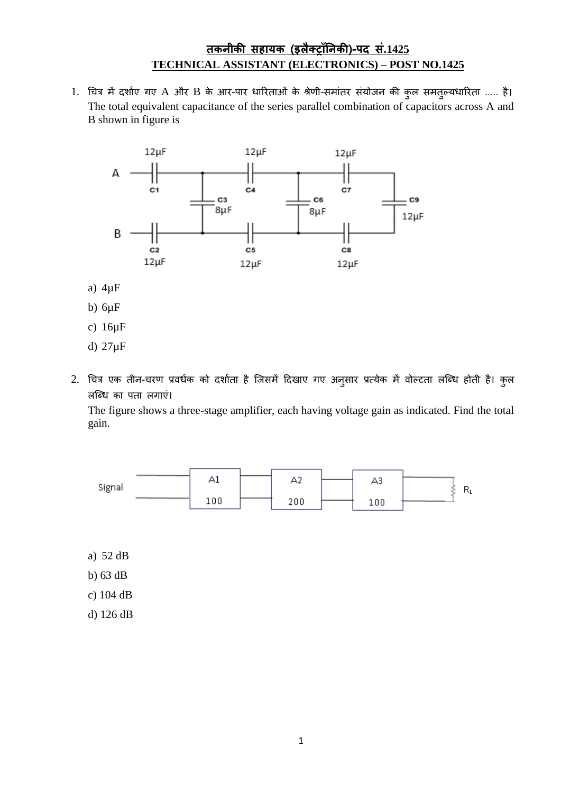## **तकनीकी सहायक (इलैक्ट्रॉननकी)-पद सं.1425 TECHNICAL ASSISTANT (ELECTRONICS) – POST NO.1425**

1. चित्र में दर्शाए गए A और B के आर-पार धारिताओं के श्रेणी-समांतर संयोजन की कुल समतुल्यधारिता ..... है। The total equivalent capacitance of the series parallel combination of capacitors across A and B shown in figure is



- a) 4µF
- b)  $6\mu$ F
- c) 16µF
- d) 27µF
- 2. चित्र एक तीन-चरण प्रवर्धक को दर्शाता है जिसमें दिखाए गए अनुसार प्रत्येक में वोल्टता लब्धि होती है। कुल लब्धि का पता लगाएं।

The figure shows a three-stage amplifier, each having voltage gain as indicated. Find the total gain.



- a) 52 dB
- b) 63 dB
- c) 104 dB
- d) 126 dB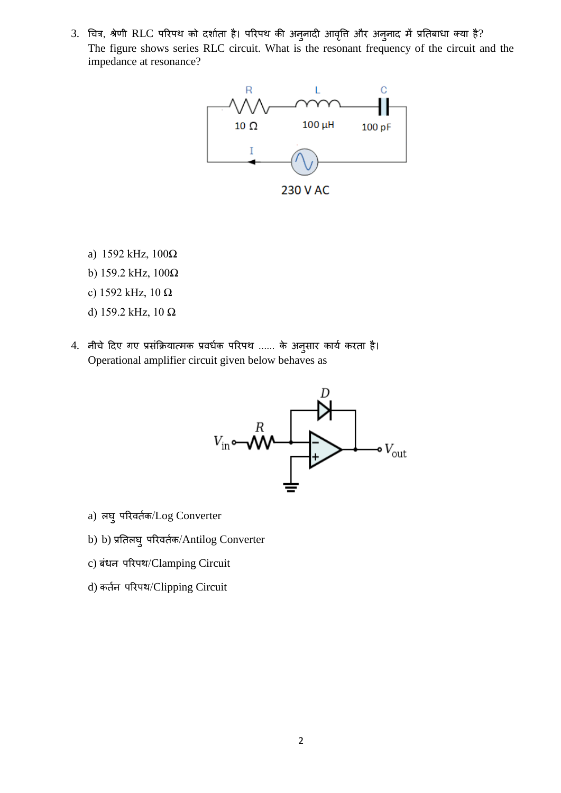3. चित्र, श्रेणी RLC परिपथ को दर्शाता है। परिपथ की अनुनादी आवृत्ति और अनुनाद में प्रतिबाधा क्या है? The figure shows series RLC circuit. What is the resonant frequency of the circuit and the impedance at resonance?



- 
- a) 1592 kHz, 100Ω
- b) 159.2 kHz, 100Ω
- c) 1592 kHz, 10 Ω
- d) 159.2 kHz, 10 Ω
- 4. नीचे दिए गए प्रसंक्रियात्मक प्रवर्धक परिपथ ...... के अनुसार कार्य करता है। Operational amplifier circuit given below behaves as



- a) लघु परिवर्तक/Log Converter
- b) b) प्रतिलघ् परिवर्तक/Antilog Converter
- c) बंधन पररपथ/Clamping Circuit
- d) कतान पररपथ/Clipping Circuit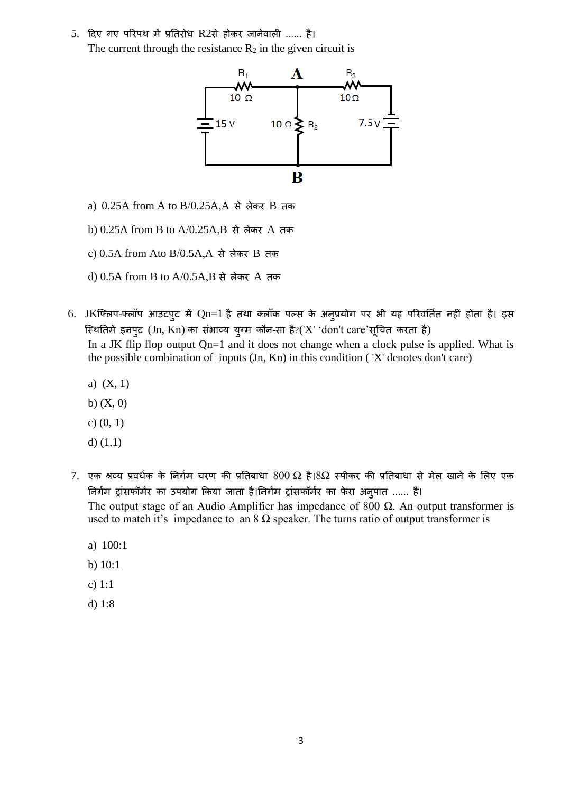5. दिए गए परिपथ में प्रतिरोध R2से होकर जानेवाली ...... है। The current through the resistance  $R_2$  in the given circuit is



- a) 0.25A from A to B/0.25A,A से लेकर B तक
- b) 0.25A from B to A/0.25A,B से लेकर A तक
- c) 0.5A from Ato B/0.5A,A से लेकर B तक
- d) 0.5A from B to A/0.5A,B से लेकर A तक
- 6. JKफ्लिप-फ्लॉप आउटपुट में Qn=1 है तथा क्लॉक पल्स के अनुप्रयोग पर भी यह परिवर्तित नहीं होता है। इस स्थितिमें इनपुट (Jn, Kn) का संभाव्य युग्म कौन-सा है?('X' 'don't care'सूचित करता है) In a JK flip flop output Qn=1 and it does not change when a clock pulse is applied. What is the possible combination of inputs (Jn, Kn) in this condition ( 'X' denotes don't care)
	- a) (X, 1)
	- b)  $(X, 0)$
	- c) (0, 1)
	- d)  $(1,1)$
- 7. एक श्रव्य प्रवर्धक के निर्गम चरण की प्रतिबाधा  $800 \ \Omega$  है। $8\Omega$  स्पीकर की प्रतिबाधा से मेल खाने के लिए एक निर्गम ट्रांसफॉर्मर का उपयोग किया जाता है।निर्गम ट्रांसफॉर्मर का फेरा अनुपात ...... है। The output stage of an Audio Amplifier has impedance of 800  $\Omega$ . An output transformer is used to match it's impedance to an  $8 \Omega$  speaker. The turns ratio of output transformer is
	- a) 100:1
	- b) 10:1
	- c) 1:1
	- d) 1:8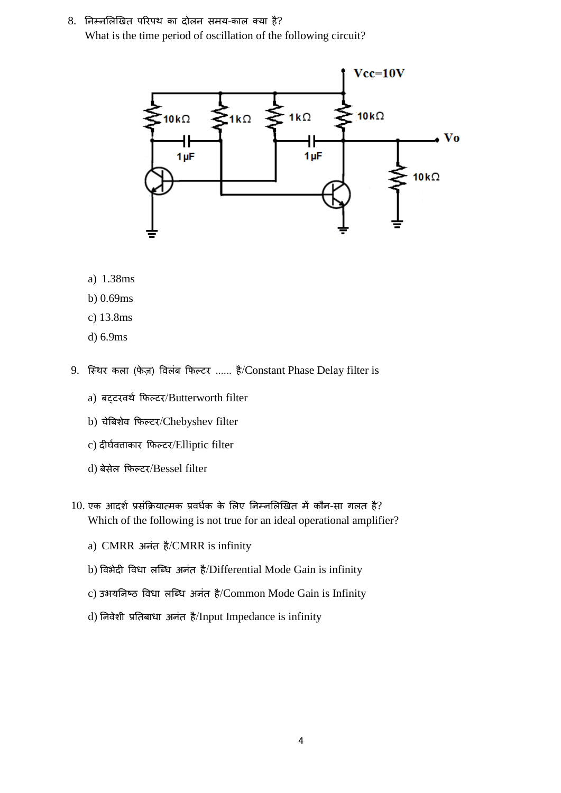$8.$  निम्नलिखित परिपथ का दोलन समय-काल क्या है? What is the time period of oscillation of the following circuit?



- a) 1.38ms
- b) 0.69ms
- c) 13.8ms
- d) 6.9ms
- 9. स्थिर कला (फेज़) विलंब फिल्टर ...... है/Constant Phase Delay filter is
	- a) बट़टरवर्थ फिल्टर/Butterworth filter
	- b) चेबिशेव फिल्टर/Chebyshev filter
	- c) दीर्घवताकार फिल्टर/Elliptic filter
	- d) बेसेल क्रफल्टर/Bessel filter
- $10$ . एक आदर्श प्रसंक्रियात्मक प्रवर्धक के लिए निम्नलिखित में कौन-सा गलत है? Which of the following is not true for an ideal operational amplifier?
	- a) CMRR अनंत है/CMRR is infinity
	- b) विभेदी विधा लब्धि अनंत है/Differential Mode Gain is infinity
	- c) उभयनिष्ठ विधा लब्धि अनंत है/Common Mode Gain is Infinity
	- d) निवेशी प्रतिबाधा अनंत है/Input Impedance is infinity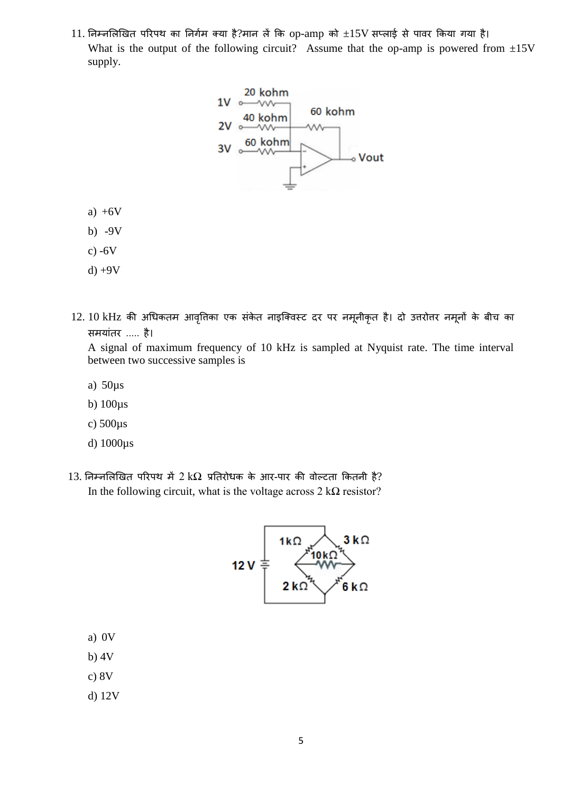$11.$  निम्नलिखित परिपथ का निर्गम क्या है?मान लें कि op-amp को  $\pm 15\mathrm{V}$  सप्लाई से पावर किया गया है। What is the output of the following circuit? Assume that the op-amp is powered from  $\pm 15V$ supply.



- a)  $+6V$
- b) -9V
- c)  $-6V$
- $d$ ) +9V
- 12. 10 kHz की अधिकतम आवृत्तिका एक संकेत नाइक्विस्ट दर पर नमूनीकृत है। दो उत्तरोत्तर नमूनों के बीच का समयशंतर ..... है।

A signal of maximum frequency of 10 kHz is sampled at Nyquist rate. The time interval between two successive samples is

- a) 50µs
- b) 100µs
- c) 500µs
- d) 1000µs
- $13.$  निम्नलिखित परिपथ में 2 kΩ प्रतिरोधक के आर-पार की वोल्टता कितनी है? In the following circuit, what is the voltage across  $2 \text{ k}\Omega$  resistor?



- a) 0V
- b) 4V
- c) 8V
- d) 12V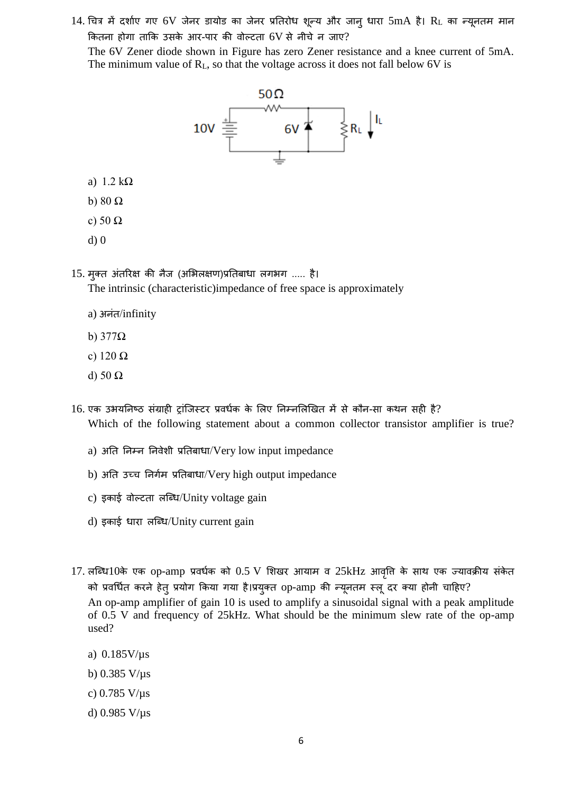14. चित्र में दर्शाए गए 6V जेनर डायोड का जेनर प्रतिरोध शून्य और जानु धारा 5mA है। RL का न्यूनतम मान कितना होगा ताकि उसके आर-पार की वोल्टता 6V से नीचे न जाए? The 6V Zener diode shown in Figure has zero Zener resistance and a knee current of 5mA. The minimum value of  $R_L$ , so that the voltage across it does not fall below 6V is



- a) 1.2 kΩ
- b) 80 Ω
- c) 50 Ω
- d) 0

15. मुक्त अंतरिक्ष की नैज (अभिलक्षण)प्रतिबाधा लगभग ..... है।

The intrinsic (characteristic)impedance of free space is approximately

- a) अनंत/infinity
- b) 377Ω
- c) 120 Ω
- d) 50 Ω
- 16. एक उभयनिष्ठ संग्राही टांजिस्टर प्रवर्धक के लिए निम्नलिखित में से कौन-सा कथन सही है? Which of the following statement about a common collector transistor amplifier is true?
	- a) अति निम्न निवेशी प्रतिबाधा/Very low input impedance
	- b) अति उच्च निर्गम प्रतिबाधा/Very high output impedance
	- c) इकाई वोल्टता लब्धि/Unity voltage gain
	- d) इकाई धारा लब्धि/Unity current gain
- 17. लब्धि10के एक op-amp प्रवर्धक को 0.5 V शिखर आयाम व 25kHz आवृति के साथ एक ज्यावक्रीय संकेत को प्रवर्धित करने हेतु प्रयोग किया गया है।प्रयुक्त op-amp की न्यूनतम स्लू दर क्या होनी चाहिए? An op-amp amplifier of gain 10 is used to amplify a sinusoidal signal with a peak amplitude of 0.5 V and frequency of 25kHz. What should be the minimum slew rate of the op-amp used?
	- a) 0.185V/µs
	- b)  $0.385$  V/ $\mu$ s
	- c) 0.785 V/µs
	- d)  $0.985 \text{ V/}\mu\text{s}$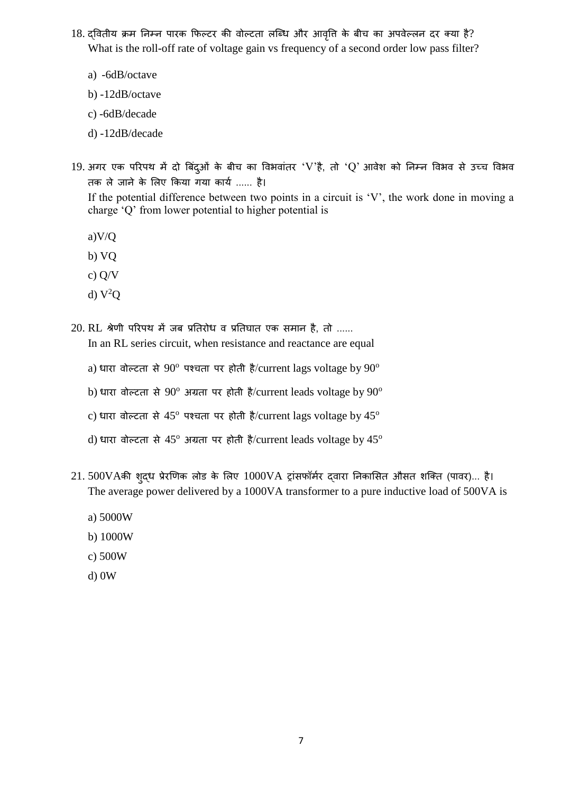- 18. द्वितीय क्रम निम्न पारक फिल्टर की वोल्टता लब्धि और आवृति के बीच का अपवेल्लन दर क्या है? What is the roll-off rate of voltage gain vs frequency of a second order low pass filter?
	- a) -6dB/octave
	- b) -12dB/octave
	- c) -6dB/decade
	- d) -12dB/decade
- 19. अगर एक परिपथ में दो बिंदुओं के बीच का विभवांतर 'V'है, तो 'Q' आवेश को निम्न विभव से उच्च विभव तक ले जाने के लिए किया गया कार्य ...... है।

If the potential difference between two points in a circuit is 'V', the work done in moving a charge 'Q' from lower potential to higher potential is

- a)V/Q
- b) VQ
- c) Q/V
- d)  $V^2Q$
- $20.$  RL श्रेणी परिपथ में जब प्रतिरोध व प्रतिघात एक समान है, तो ...... In an RL series circuit, when resistance and reactance are equal
	- a) धारा वोल्टता से  $90^{\circ}$  पश्चता पर होती है/current lags voltage by  $90^{\circ}$
	- b) धारा वोल्टता से  $90^{\circ}$  अग्रता पर होती है/current leads voltage by  $90^{\circ}$
	- c) धारा वोल्टता से  $45^{\circ}$  पश्चता पर होती है/current lags voltage by  $45^{\circ}$
	- d) धारा वोल्टता से 45<sup>o</sup> अग्रता पर होती है/current leads voltage by 45<sup>o</sup>
- $21.500V$ Aकी शुद्ध प्रेरणिक लोड के लिए  $1000VA$  ट्रांसफॉर्मर द्वारा निकासित औसत शक्ति (पावर)... है। The average power delivered by a 1000VA transformer to a pure inductive load of 500VA is
	- a) 5000W
	- b) 1000W
	- c) 500W
	- d) 0W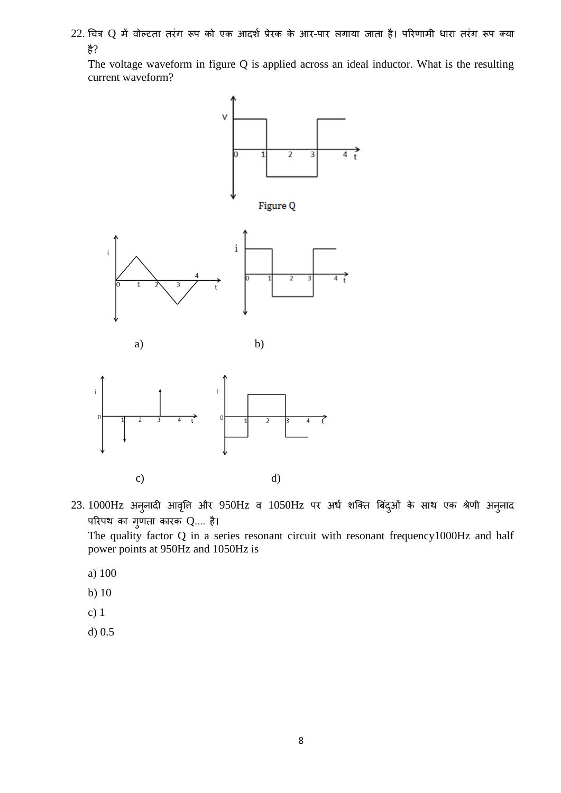$22$ . चित्र Q में वोल्टता तरंग रूप को एक आदर्श प्रेरक के आर-पार लगाया जाता है। परिणामी धारा तरंग रूप क्या है?

The voltage waveform in figure Q is applied across an ideal inductor. What is the resulting current waveform?





 $23.1000$ Hz अनुनादी आवृत्ति और  $950$ Hz व  $1050$ Hz पर अर्ध शक्ति बिंदुओं के साथ एक श्रेणी अनुनाद परिपथ का गृणता कारक  $Q$ .... है।

The quality factor Q in a series resonant circuit with resonant frequency1000Hz and half power points at 950Hz and 1050Hz is

- a) 100
- b) 10
- c) 1
- d) 0.5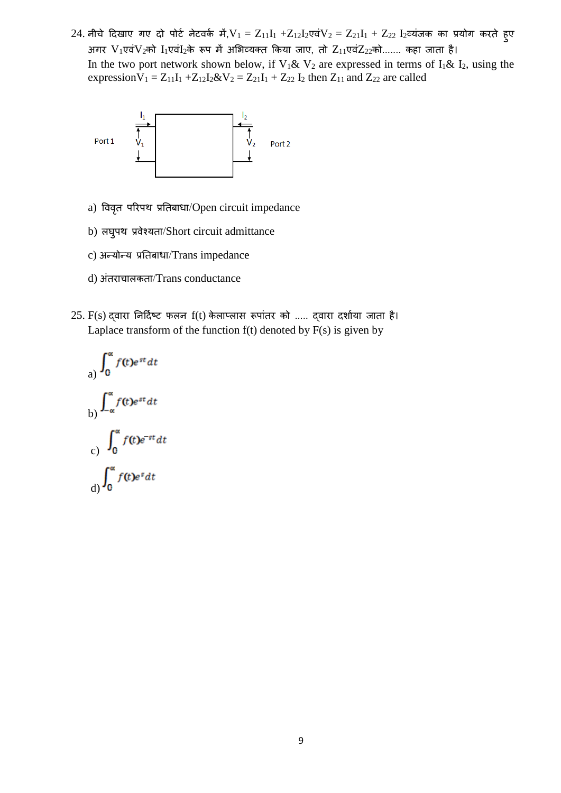24. नीचे दिखाए गए दो पोर्ट नेटवर्क में, $V_1 = Z_{11}I_1 + Z_{12}I_2$ एवं $V_2 = Z_{21}I_1 + Z_{22}$   $I_2$ व्यंजक का प्रयोग करते हुए अगर  $V_1$ एवं $V_2$ को  $I_1$ एवं $I_2$ के रूप में अभिव्यक्त किया जाए, तो  $Z_{11}$ एवं $Z_{22}$ को....... कहा जाता है। In the two port network shown below, if  $V_1 \& V_2$  are expressed in terms of  $I_1 \& I_2$ , using the expression $V_1 = Z_{11}I_1 + Z_{12}I_2 \& V_2 = Z_{21}I_1 + Z_{22}I_2$  then  $Z_{11}$  and  $Z_{22}$  are called



- a) विवृत परिपथ प्रतिबाधा/Open circuit impedance
- b) लघुपथ प्रवेश्यता/Short circuit admittance
- c) अन्योन्य प्रतिबाधा/Trans impedance
- d) अंतराचालकता/Trans conductance
- $25. F(s)$  दवारा निर्दिष्ट फलन  $f(t)$  केलाप्लास रूपांतर को ..... दवारा दर्शाया जाता है। Laplace transform of the function  $f(t)$  denoted by  $F(s)$  is given by

a) 
$$
\int_0^{\alpha} f(t)e^{st} dt
$$
  
\nb) 
$$
\int_{-\alpha}^{\alpha} f(t)e^{st} dt
$$
  
\nc) 
$$
\int_0^{\alpha} f(t)e^{-st} dt
$$
  
\nd) 
$$
\int_0^{\alpha} f(t)e^s dt
$$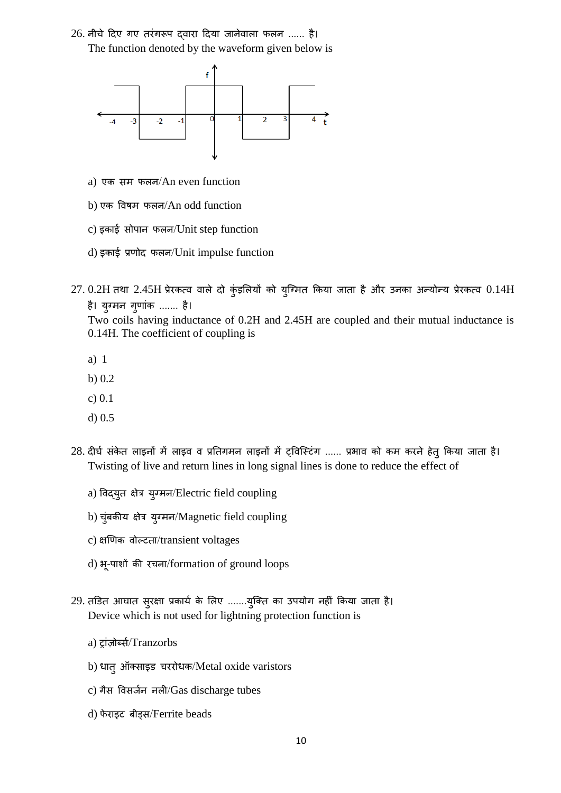26. नीचे दिए गए तरंगरूप दवारा दिया जानेवाला फलन ...... है। The function denoted by the waveform given below is



- a) एक सम फलन/An even function
- b) एक त्तवषम फलन/An odd function
- c) इकशई सोपशन फलन/Unit step function
- d) इकशई प्रणोद फलन/Unit impulse function
- $27. 0.2H$  तथा  $2.45H$  प्रेरकत्व वाले दो कुंड़लियों को युग्मित किया जाता है और उनका अन्योन्य प्रेरकत्व  $0.14H$ है। युग्मन गुणांक ....... है।

Two coils having inductance of 0.2H and 2.45H are coupled and their mutual inductance is 0.14H. The coefficient of coupling is

- a) 1
- b) 0.2
- c) 0.1
- d) 0.5
- 28. दीर्घ संकेत लाइनों में लाइव व प्रतिगमन लाइनों में ट्विस्टिंग ...... प्रभाव को कम करने हेतु किया जाता है। Twisting of live and return lines in long signal lines is done to reduce the effect of
	- a) त्तवद्युत क्षेत्र युग्मन/Electric field coupling
	- b) चुंबकीय क्षेत्र युग्मन/Magnetic field coupling
	- c) क्षखणक वोल्टतश/transient voltages
	- d) भू-पाशों की रचना/formation of ground loops
- 29. तडित आघात सुरक्षा प्रकार्य के लिए .......युक्ति का उपयोग नहीं किया जाता है। Device which is not used for lightning protection function is
	- a) ट्रांज़ोर्ब्स/Tranzorbs
	- b) धात् ऑक्साइड चररोधक/Metal oxide varistors
	- c) गैस विसर्जन नली/Gas discharge tubes
	- d) फेराइट बीड्स/Ferrite beads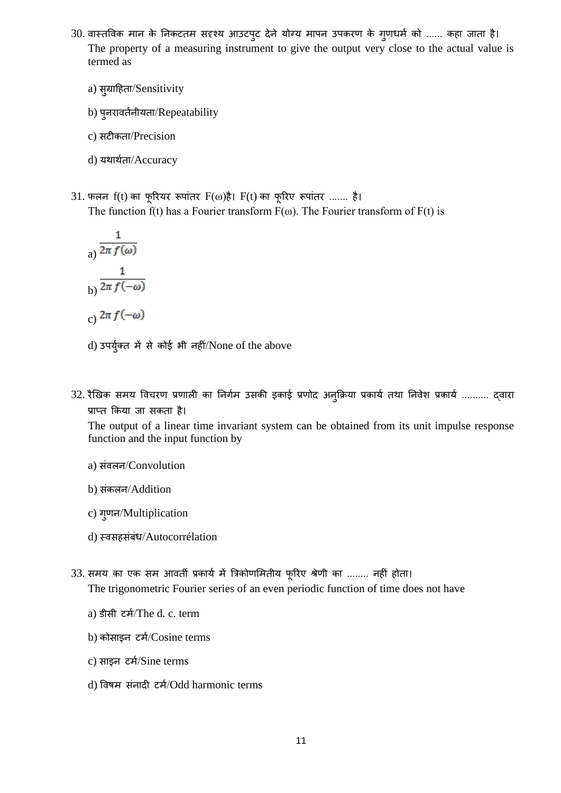- 30. वास्तविक मान के निकटतम सदृश्य आउटपुट देने योग्य मापन उपकरण के गुणधर्म को ...... कहा जाता है। The property of a measuring instrument to give the output very close to the actual value is termed as
	- a) सुग्राहिता/Sensitivity
	- b) पुनरावर्तनीयता/Repeatability
	- c) सटीकतश/Precision
	- d) यथार्थता/Accuracy
- 31. फलन  $f(t)$  का फूरियर रूपांतर  $F(\omega)$ है।  $F(t)$  का फूरिए रूपांतर ....... है। The function f(t) has a Fourier transform  $F(\omega)$ . The Fourier transform of  $F(t)$  is

a) 
$$
\frac{1}{2\pi f(\omega)}
$$
  
b) 
$$
\frac{1}{2\pi f(-\omega)}
$$
  
c) 
$$
2\pi f(-\omega)
$$

- d) उपर्युक्त में से कोई भी नहीं/None of the above
- 32. रैखिक समय विचरण प्रणाली का निर्गम उसकी इकाई प्रणोद अनुक्रिया प्रकार्य तथा निवेश प्रकार्य .......... द्वारा प्राप्त किया जा सकता है।

The output of a linear time invariant system can be obtained from its unit impulse response function and the input function by

- a) संवलन/Convolution
- b) संकलन/Addition
- c) गुणन/Multiplication
- d) थवसहसंबंध/Autocorrélation
- 33. समय का एक सम आवर्ती प्रकार्य में त्रिकोणमितीय फूरिए श्रेणी का ........ नहीं होता। The trigonometric Fourier series of an even periodic function of time does not have
	- a) डीसी टमा/The d. c. term
	- b) कोसाइन टर्म/Cosine terms
	- c) साइन टर्म/Sine terms
	- d) विषम संनादी टर्म/Odd harmonic terms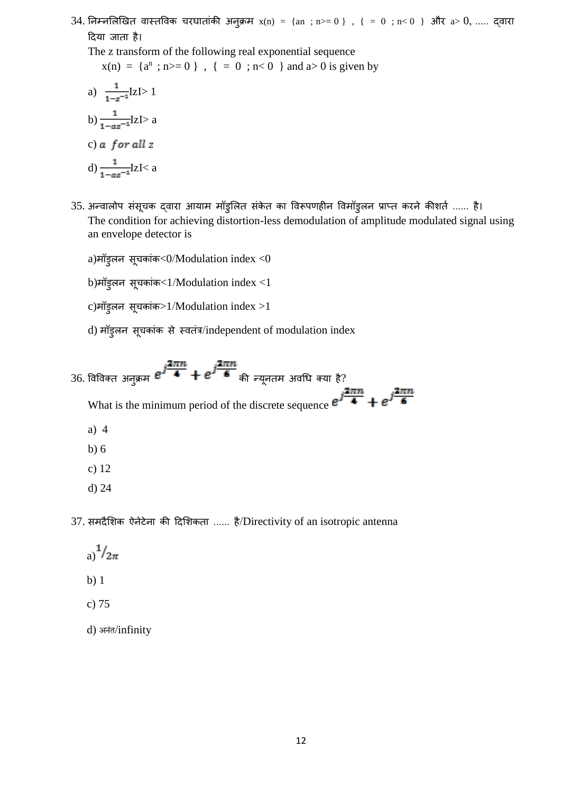34. निम्नलिखित वास्तविक चरघातांकी अनुक्रम x(n) = {an ; n>= 0 } , { = 0 ; n< 0 } और a> 0, ..... द्वारा दिया जाता है।

The z transform of the following real exponential sequence  $x(n) = {a^n ; n > = 0}$ ,  ${ = 0 ; n < 0}$  and  $a > 0$  is given by

a) 
$$
\frac{1}{1-z^{-1}}IZI>1
$$
  
b) 
$$
\frac{1}{1-az^{-1}}IZI> a
$$
  
c) a *for all z*  
d) 
$$
\frac{1}{1-az^{-1}}IZI
$$

- 35. अन्वालोप संसूचक द्वारा आयाम मॉड्लित संकेत का विरूपणहीन विमॉड्लन प्राप्त करने कीशर्त ...... है। The condition for achieving distortion-less demodulation of amplitude modulated signal using an envelope detector is
	- a)मॉड्लन सूचकांक<0/Modulation index <0

b)मॉड्लन सूचकांक<1/Modulation index <1

 $c)$ मॉड्लन सूचकांक>1/Modulation index >1

- d) मॉड्लन सूचकांक से स्वतंत्र/independent of modulation index
- 36. विविक्त अनुक्रम  $e^{\textbf{j}\frac{2\pi n}{4}}+e^{\textbf{j}\frac{2\pi n}{6}}$ की न्यूनतम अवधि क्या है? What is the minimum period of the discrete sequence  $e^{j\frac{2\pi n}{4}} + e^{j\frac{2\pi n}{6}}$ a) 4 b) 6 c) 12
	- d) 24

37. समदैशिक ऐनेटेना की दिशिकता ...... है/Directivity of an isotropic antenna

a) $\frac{1}{2\pi}$ 

- b) 1
- c) 75
- d) अनंत/infinity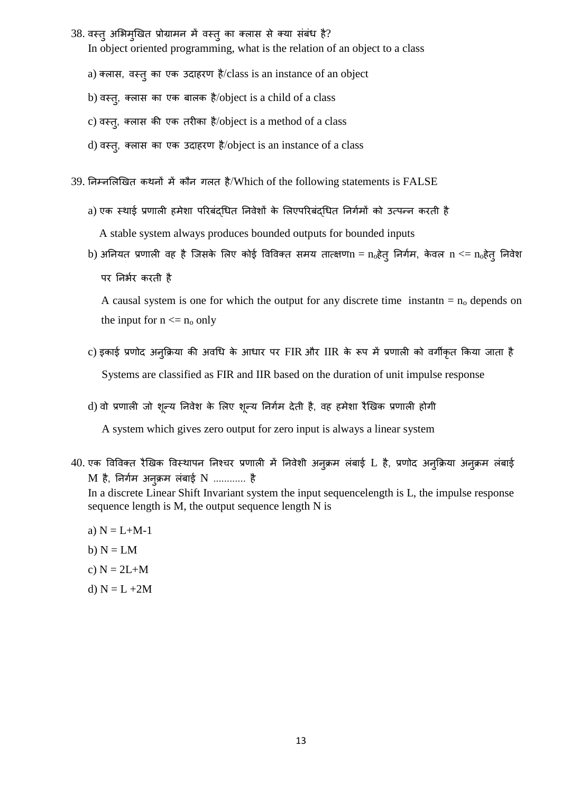- 38. वस्तु अभिमुखित प्रोग्रामन में वस्तु का क्लास से क्या संबंध है? In object oriented programming, what is the relation of an object to a class
	- a) क्लास, वस्तु का एक उदाहरण है/class is an instance of an object
	- b) वस्तु, क्लास का एक बालक है/object is a child of a class
	- c) वस्तु, क्लास की एक तरीका है/object is a method of a class
	- d) वस्तु, क्लास का एक उदाहरण है/object is an instance of a class
- 39. निम्नलिखित कथनों में कौन गलत है/Which of the following statements is FALSE
	- a) एक स्थाई प्रणाली हमेशा परिबंदधित निवेशों के लिएपरिबंदधित निर्गमों को उत्पन्न करती है A stable system always produces bounded outputs for bounded inputs
	- b) अनियत प्रणाली वह है जिसके लिए कोई विविक्त समय तात्क्षण $n = n_0$ हेतु निर्गम, केवल  $n \lt = n_0$ हेतु निवेश पर निर्भर करती है

A causal system is one for which the output for any discrete time instantn  $= n_0$  depends on the input for  $n \le n_0$  only

- c) इकाई प्रणोद अनुक्रिया की अवधि के आधार पर FIR और IIR के रूप में प्रणाली को वर्गीकृत किया जाता है Systems are classified as FIR and IIR based on the duration of unit impulse response
- d) वो प्रणाली जो शुन्य निवेश के लिए शुन्य निर्गम देती है, वह हमेशा रैखिक प्रणाली होगी

A system which gives zero output for zero input is always a linear system

 $40$ . एक विविक्त रैखिक विस्थापन निश्चर प्रणाली में निवेशी अनुक्रम लंबाई L है, प्रणोद अनुक्रिया अनुक्रम लंबाई  $M$  है, निर्गम अनुक्रम लंबाई  $N$  ............ है

In a discrete Linear Shift Invariant system the input sequencelength is L, the impulse response sequence length is M, the output sequence length N is

- a)  $N = L+M-1$
- b)  $N = LM$
- c)  $N = 2L+M$
- d)  $N = L + 2M$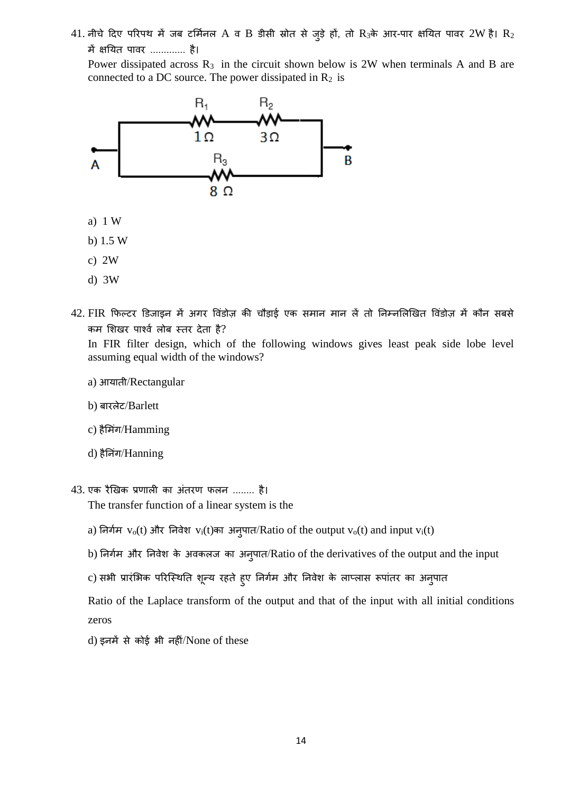$41$ . नीचे दिए परिपथ में जब टर्मिनल A व B डीसी स्रोत से जुड़े हों, तो R3के आर-पार क्षयित पावर  $2W$  है। R $_2$ में क्षतयत पशवर ............. है।

Power dissipated across  $R_3$  in the circuit shown below is 2W when terminals A and B are connected to a DC source. The power dissipated in  $R_2$  is



- c) 2W
- d) 3W
- 42. FIR फिल्टर डिजाइन में अगर विंडोज़ की चौड़ाई एक समान मान लें तो निम्नलिखित विंडोज़ में कौन सबसे कम शिखर पार्श्व लोब स्तर देता है?

In FIR filter design, which of the following windows gives least peak side lobe level assuming equal width of the windows?

- a) आयशती/Rectangular
- b) बशरलेट/Barlett
- c) हैमिंग/Hamming
- d) हैनिंग/Hanning
- 43. एक रैखखक प्रणशली कश अंतरण फलन ........ है। The transfer function of a linear system is the
	- a) निर्गम  $v_0(t)$  और निवेश  $v_i(t)$ का अनुपात/Ratio of the output  $v_0(t)$  and input  $v_i(t)$
	- b) निर्गम और निवेश के अवकलज का अनुपात/Ratio of the derivatives of the output and the input
	- c) सभी प्रारंभिक परिस्थिति शून्य रहते हुए निर्गम और निवेश के लाप्लास रूपांतर का अनुपात

Ratio of the Laplace transform of the output and that of the input with all initial conditions zeros

d) इनमें से कोई भी नहीं/None of these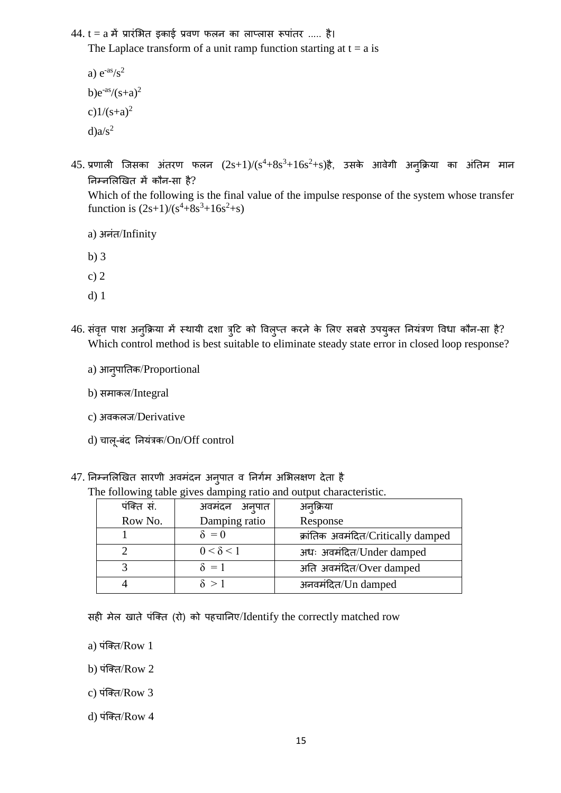$44. t = a$  में प्रारंभित इकाई प्रवण फलन का लाप्लास रूपांतर ..... है।

The Laplace transform of a unit ramp function starting at  $t = a$  is

a)  $e^{-as}/s^2$ b) $e^{as}/(s+a)^2$ c) $1/(s+a)^2$  $d) a/s<sup>2</sup>$ 

 $45.$  प्रणाली जिसका अंतरण फलन  $(2s+1)/(s^4+8s^3+16s^2+s)$ है, उसके आवेगी अनुक्रिया का अंतिम मान तनम्नललखखत में कौन-सश है?

Which of the following is the final value of the impulse response of the system whose transfer function is  $(2s+1)/(s^4+8s^3+16s^2+s)$ 

a) अनंत/Infinity

b) 3

c) 2

- d) 1
- 46. संवृत्त पाश अनुक्रिया में स्थायी दशा त्रुटि को विलुप्त करने के लिए सबसे उपयुक्त नियंत्रण विधा कौन-सा है? Which control method is best suitable to eliminate steady state error in closed loop response?
	- a) आनुपशततक/Proportional
	- b) समाकल/Integral
	- c) अवकलज/Derivative
	- d) िशलू-बंद तनयंत्रक/On/Off control
- 47. निम्नलिखित सारणी अवमंदन अनुपात व निर्गम अभिलक्षण देता है

| The following table gives damping ratio and output characteristic. |  |  |
|--------------------------------------------------------------------|--|--|
|                                                                    |  |  |

| पंक्ति सं. | अवमंदन अनुपात    | अन्क्रिया                          |  |
|------------|------------------|------------------------------------|--|
| Row No.    | Damping ratio    | Response                           |  |
|            | $\delta = 0$     | क्रांतिक अवमंदित/Critically damped |  |
|            | $0 < \delta < 1$ | अधः अवमंदित/Under damped           |  |
|            | $\delta = 1$     | अति अवमंदित/Over damped            |  |
|            | $\delta$ $>1$    | अनवमंदित/Un damped                 |  |

सही मेल खशते पंजक्त (रो) को पहिशतनए/Identify the correctly matched row

a) पंक्ति $/Row1$ 

b) पंजक्त/Row 2

c) पंजक्त/Row 3

d) पंजक्त/Row 4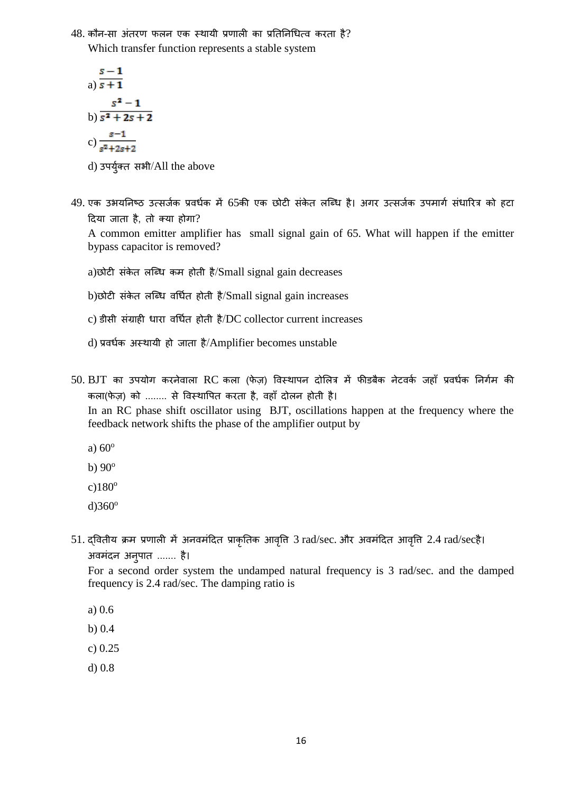$48$ . कौन-सा अंतरण फलन एक स्थायी प्रणाली का प्रतिनिधित्व करता है? Which transfer function represents a stable system

a) 
$$
\frac{s-1}{s+1}
$$
  
\nb) 
$$
\frac{s^2-1}{s^2+2s+2}
$$
  
\nc) 
$$
\frac{s-1}{s^2+2s+2}
$$

d) उपर्युक्त सभी/All the above

49. एक उभयनिष्ठ उत्सर्जक प्रवर्धक में 65की एक छोटी संकेत लब्धि है। अगर उत्सर्जक उपमार्ग संधारित्र को हटा दिया जाता है, तो क्या होगा?

A common emitter amplifier has small signal gain of 65. What will happen if the emitter bypass capacitor is removed?

a)छोटी संकेत लब्धि कम होती है/Small signal gain decreases

b)छोटी संकेत लब्धि वर्धित होती है/Small signal gain increases

- c) डीसी संग्राही धारा वर्धित होती है/DC collector current increases
- d) प्रवर्धक अस्थायी हो जाता है/Amplifier becomes unstable
- $50.$   $BIT$  का उपयोग करनेवाला  $RC$  कला (फेज़) विस्थापन दोलित्र में फीडबैक नेटवर्क जहाँ प्रवर्धक निर्गम की कला(फेज़) को ........ से विस्थापित करता है, वहाँ दोलन होती है।

In an RC phase shift oscillator using BJT, oscillations happen at the frequency where the feedback network shifts the phase of the amplifier output by

- a)  $60^\circ$
- b)  $90^\circ$
- $c)180^\circ$
- $d$ )360 $^{\circ}$
- 51. दवितीय क्रम प्रणाली में अनवमंदित प्राकृतिक आवृत्ति 3 rad/sec. और अवमंदित आवृत्ति 2.4 rad/secहै। अवमंदन अनुपशत ....... है।

For a second order system the undamped natural frequency is 3 rad/sec. and the damped frequency is 2.4 rad/sec. The damping ratio is

- a) 0.6
- b) 0.4
- c) 0.25
- d) 0.8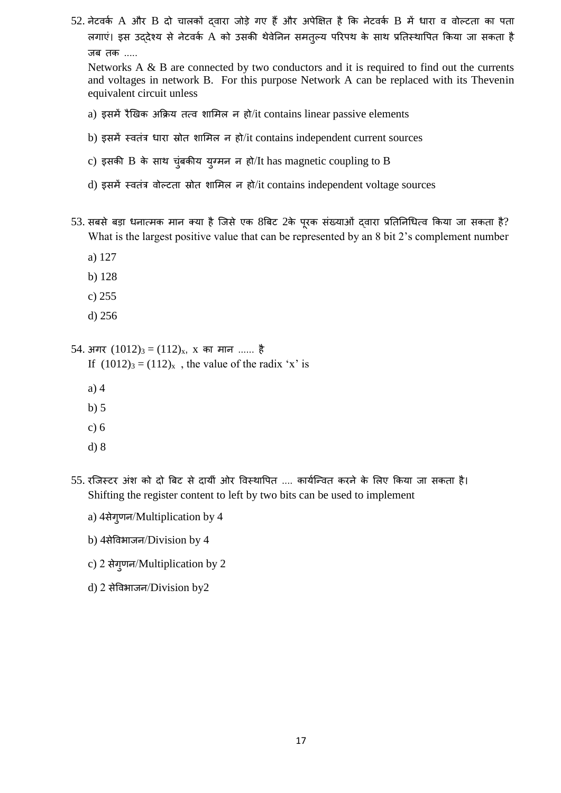52. नेटवर्क A और B दो चालकों दवारा जोड़े गए हैं और अपेक्षित है कि नेटवर्क B में धारा व वोल्टता का पता लगाएं। इस उददेश्य से नेटवर्क A को उसकी थेवेनिन समतुल्य परिपथ के साथ प्रतिस्थापित किया जा सकता है जब तक .....

Networks  $A \& B$  are connected by two conductors and it is required to find out the currents and voltages in network B. For this purpose Network A can be replaced with its Thevenin equivalent circuit unless

- a) इसमें रैखखक अक्रिय तत्व र्शलमल न हो/it contains linear passive elements
- b) इसमें स्वतंत्र धारा स्रोत शामिल न हो/it contains independent current sources
- c) इसकी  $B$  के साथ चुंबकीय युग्मन न हो/It has magnetic coupling to  $B$
- d) इसमें स्वतंत्र वोल्टता स्रोत शामिल न हो/it contains independent voltage sources
- 53. सबसे बड़ा धनात्मक मान क्या है जिसे एक 8बिट 2के पुरक संख्याओं दवारा प्रतिनिधित्व किया जा सकता है? What is the largest positive value that can be represented by an 8 bit 2's complement number
	- a) 127
	- b) 128
	- c) 255
	- d) 256

54. अगर  $(1012)_3 = (112)_x$ , x का मान ...... है

- If  $(1012)<sub>3</sub> = (112)<sub>x</sub>$ , the value of the radix 'x' is
- a) 4
- b) 5
- c) 6
- d) 8
- 55. रजिस्टर अंश को दो बिट से दायीं ओर विस्थापित .... कार्यन्वित करने के लिए किया जा सकता है। Shifting the register content to left by two bits can be used to implement
	- a) 4सेगुणन/Multiplication by 4
	- b) 4सेत्तवभशजन/Division by 4
	- c) 2 सेगुणन/Multiplication by 2
	- d) 2 सेत्तवभशजन/Division by2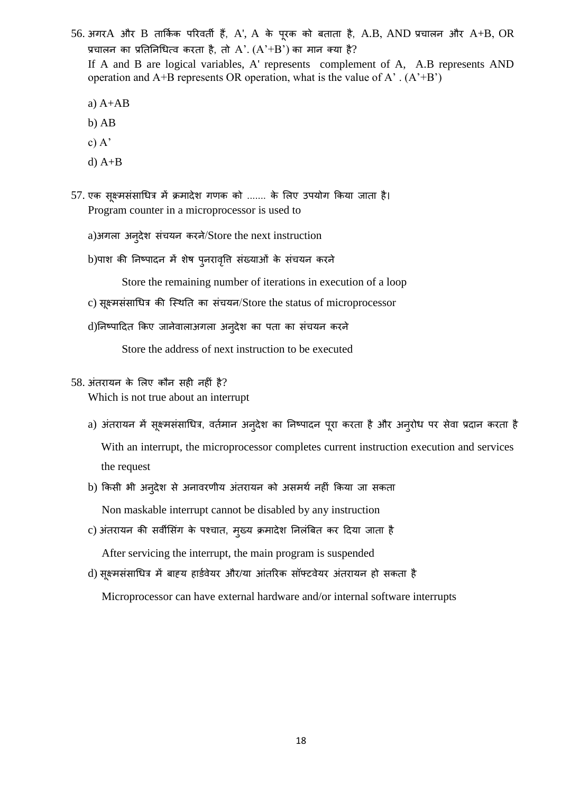- $56.$  अगर $A$  और  $B$  तार्किक परिवर्ती हैं, A', A के पूरक को बताता है, A.B, AND प्रचालन और A+B, OR प्रचालन का प्रतिनिधित्व करता है, तो  $A'$ .  $(A'+B')$  का मान क्या है? If A and B are logical variables, A' represents complement of A, A.B represents AND operation and A+B represents OR operation, what is the value of A'.  $(A^*B^*)$ 
	- a)  $A+AB$
	- b) AB
	- c)  $A'$
	- d)  $A+B$
- 57. एक सूक्ष्मसंसाधित्र में क्रमादेश गणक को ....... के लिए उपयोग किया जाता है। Program counter in a microprocessor is used to
	- a)अगला अनुदेश संचयन करने/Store the next instruction
	- b)पाश की निष्पादन में शेष पुनरावृत्ति संख्याओं के संचयन करने

Store the remaining number of iterations in execution of a loop

- c) सूक्ष्मसंसाधित्र की स्थिति का संचयन/Store the status of microprocessor
- d)निष्पादित किए जानेवालाअगला अनुदेश का पता का संचयन करने

Store the address of next instruction to be executed

58. अंतरशयन के ललए कौन सही नहीं है?

Which is not true about an interrupt

- a) अंतरायन में सूक्ष्मसंसाधित्र, वर्तमान अनुदेश का निष्पादन पूरा करता है और अनुरोध पर सेवा प्रदान करता है With an interrupt, the microprocessor completes current instruction execution and services the request
- b) किसी भी अन्**देश से अनावरणीय अंतरायन को असमर्थ नहीं** किया जा सकता Non maskable interrupt cannot be disabled by any instruction
- c) अंतरायन की सर्वीसिंग के पश्चात, मुख्य क्रमादेश निलंबित कर दिया जाता है After servicing the interrupt, the main program is suspended
- d) सूक्ष्मसंसाधित्र में बाह्य हार्डवेयर और/या आंतरिक सॉफ्टवेयर अंतरायन हो सकता है Microprocessor can have external hardware and/or internal software interrupts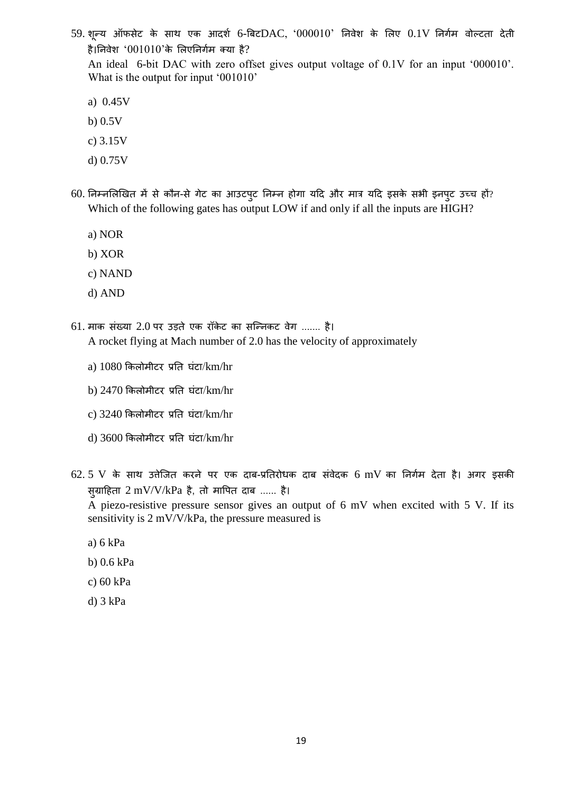- 59. शून्य ऑफसेट के साथ एक आदर्श 6-बिट $\rm DAC$ , '000010' निवेश के लिए  $0.1V$  निर्गम वोल्टता देती है।निवेश '001010'के लिएनिर्गम क्या है? An ideal 6-bit DAC with zero offset gives output voltage of 0.1V for an input '000010'. What is the output for input '001010'
	- a) 0.45V
	- b) 0.5V
	- c) 3.15V
	- d) 0.75V
- 60. निम्नलिखित में से कौन-से गेट का आउटपुट निम्न होगा यदि और मात्र यदि इसके सभी इनपुट उच्च हों? Which of the following gates has output LOW if and only if all the inputs are HIGH?
	- a) NOR
	- b) XOR
	- c) NAND
	- d) AND
- $61.$  माक संख्या  $2.0$  पर उड़ते एक रॉकेट का सन्निकट वेग ....... है। A rocket flying at Mach number of 2.0 has the velocity of approximately
	- a)  $1080$  किलोमीटर प्रति घंटा/km/hr
	- b)  $2470$  किलोमीटर प्रति घंटा/km/hr
	- $c)$  3240 किलोमीटर प्रति घंटा/km/hr
	- d) 3600 क्रकलोमीटर प्रतत घंटश/km/hr
- $62.5$  V के साथ उत्तेजित करने पर एक दाब-प्रतिरोधक दाब संवेदक 6 mV का निर्गम देता है। अगर इसकी स् $\mu$ ग्राहिता 2 mV/V/kPa है, तो मापित दाब ...... है।

A piezo-resistive pressure sensor gives an output of 6 mV when excited with 5 V. If its sensitivity is 2 mV/V/kPa, the pressure measured is

- a) 6 kPa
- b) 0.6 kPa
- c) 60 kPa
- d) 3 kPa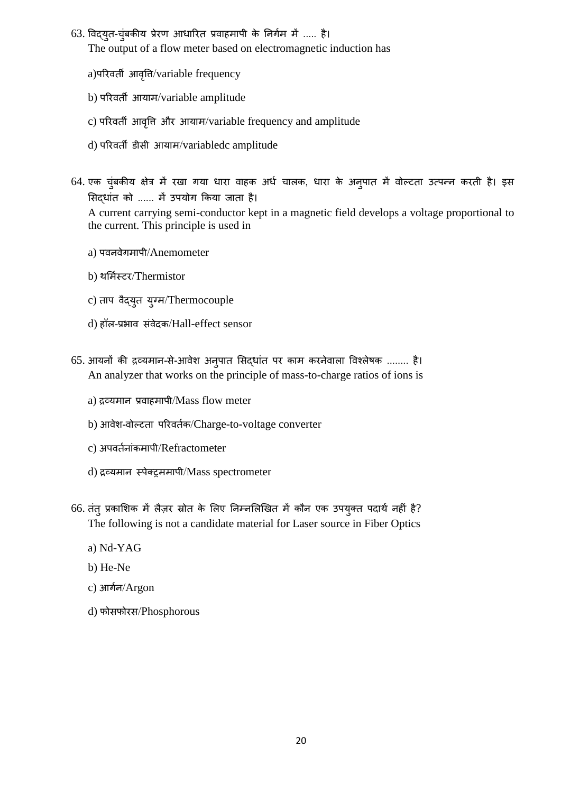63. विद्युत-चुंबकीय प्रेरण आधारित प्रवाहमापी के निर्गम में ..... है। The output of a flow meter based on electromagnetic induction has

a)पररवती आवत्तृि/variable frequency

- b) पररवती आयशम/variable amplitude
- c) पररवती आवत्तृि और आयशम/variable frequency and amplitude
- d) पररवती डीसी आयशम/variabledc amplitude
- 64. एक चुंबकीय क्षेत्र में रखा गया धारा वाहक अर्ध चालक, धारा के अनुपात में वोल्टता उत्पन्न करती है। इस सिद्धांत को ...... में उपयोग किया जाता है। A current carrying semi-conductor kept in a magnetic field develops a voltage proportional to the current. This principle is used in
	- a) पवनवेगमशपी/Anemometer
	- b) थर्मिस्टर/Thermistor
	- c) ताप वैद्युत युग्म/Thermocouple
	- d) हॉल-प्रभशव संवेदक/Hall-effect sensor
- 65. आयनों की द्रव्यमान-से-आवेश अनुपात सिद्धांत पर काम करनेवाला विश्लेषक ........ है। An analyzer that works on the principle of mass-to-charge ratios of ions is
	- $a)$  द्रव्यमान प्रवाहमापी/Mass flow meter
	- b) आवेश-वोल्टता परिवर्तक/Charge-to-voltage converter
	- c) अपवर्तनांकमापी/Refractometer
	- d) द्रव्यमान स्पेक्ट्ममापी/Mass spectrometer
- 66. तंतु प्रकाशिक में लैज़र स्रोत के लिए निम्नलिखित में कौन एक उपयुक्त पदार्थ नहीं है? The following is not a candidate material for Laser source in Fiber Optics
	- a) Nd-YAG
	- b) He-Ne
	- c) आगान/Argon
	- d) फोसफोरस/Phosphorous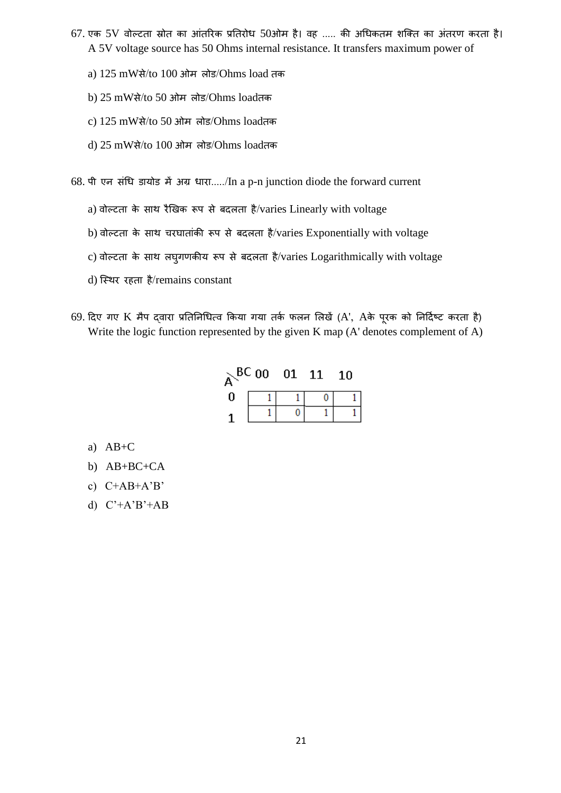- $67.$  एक  $5V$  वोल्टता स्रोत का आंतरिक प्रतिरोध  $50$ ओम है। वह ..... की अधिकतम शक्ति का अंतरण करता है। A 5V voltage source has 50 Ohms internal resistance. It transfers maximum power of
	- a) 125 mWसे/to 100 ओम लोड/Ohms load तक
	- b) 25 mWसे/to 50 ओम लोड/Ohms loadतक
	- c) 125 mWसे/to 50 ओम लोड/Ohms loadतक
	- d) 25 mWसे/to 100 ओम लोड/Ohms loadतक

68. पी एन संचध डशयोड में अग्र धशरश...../In a p-n junction diode the forward current

- a) वोल्टता के साथ रैखिक रूप से बदलता है/varies Linearly with voltage
- b) वोल्टता के साथ चरघातांकी रूप से बदलता है/varies Exponentially with voltage
- c) वोल्टता के साथ लघुगणकीय रूप से बदलता है/varies Logarithmically with voltage
- d) स्थिर रहता है/remains constant
- 69. दिए गए K मैप दवारा प्रतिनिधित्व किया गया तर्क फलन लिखें (A', Aके पूरक को निर्दिष्ट करता है) Write the logic function represented by the given K map (A' denotes complement of A)

| ∼ | BC00 | 01 | 11 | 10 |
|---|------|----|----|----|
| N |      |    |    |    |
|   |      |    |    |    |

- a) AB+C
- b) AB+BC+CA
- c) C+AB+A'B'
- d) C'+A'B'+AB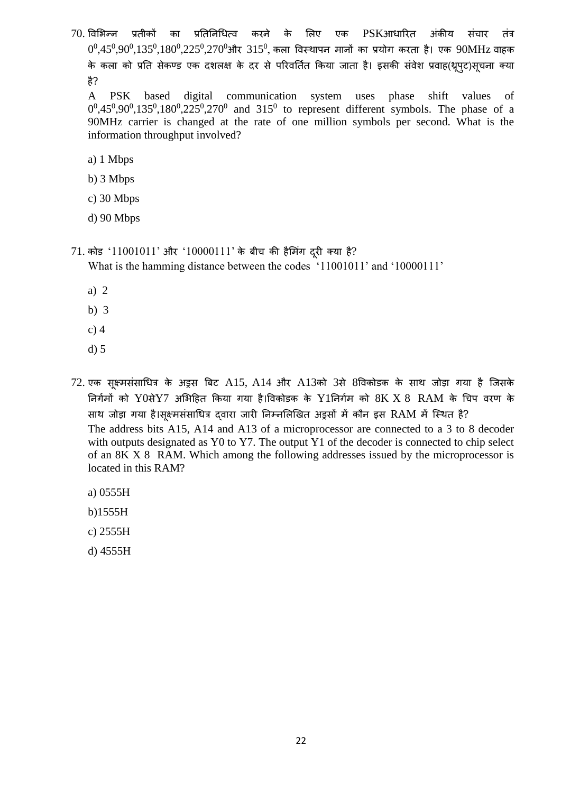70. विभिन्न प्रतीकों का प्रतिनिधित्व करने के लिए एक PSKआधारित अंकीय संचार तंत्र  $0^0\!,\!45^0\!,\!90^0\!,\!135^0\!,\!180^0\!,\!225^0\!,\!270^0$ और  $315^0\!,$  कला विस्थापन मानों का प्रयोग करता है। एक  $90\mathrm{MHz}$  वाहक के कला को प्रति सेकण्ड एक दशलक्ष के दर से परिवर्तित किया जाता है। इसकी संवेश प्रवाह(थ्रूपुट)सूचना क्या है?

A PSK based digital communication system uses phase shift values of  $0^0,45^0,90^0,135^0,180^0,225^0,270^0$  and  $315^0$  to represent different symbols. The phase of a 90MHz carrier is changed at the rate of one million symbols per second. What is the information throughput involved?

- a) 1 Mbps
- b) 3 Mbps
- c) 30 Mbps
- d) 90 Mbps
- $71.$  कोड ' $11001011$ ' और ' $10000111$ ' के बीच की हैमिंग दूरी क्या है?

What is the hamming distance between the codes '11001011' and '10000111'

- a) 2
- b) 3
- c) 4
- d) 5
- 72. एक सूक्ष्मसंसाधित्र के अड्रस बिट A15, A14 और A13को 3से 8विकोडक के साथ जोड़ा गया है जिसके तनगामों को Y0सेY7 अलभदहत क्रकयश गयश है।त्तवकोडक के Y1तनगाम को 8K X 8 RAM के चिप वरण के साथ जोड़ा गया है।सूक्ष्मसंसाधित्र दवारा जारी निम्नलिखित अड्रसों में कौन इस RAM में स्थित है? The address bits A15, A14 and A13 of a microprocessor are connected to a 3 to 8 decoder with outputs designated as Y0 to Y7. The output Y1 of the decoder is connected to chip select of an 8K X 8 RAM. Which among the following addresses issued by the microprocessor is located in this RAM?
	- a) 0555H
	- b)1555H
	- c) 2555H
	- d) 4555H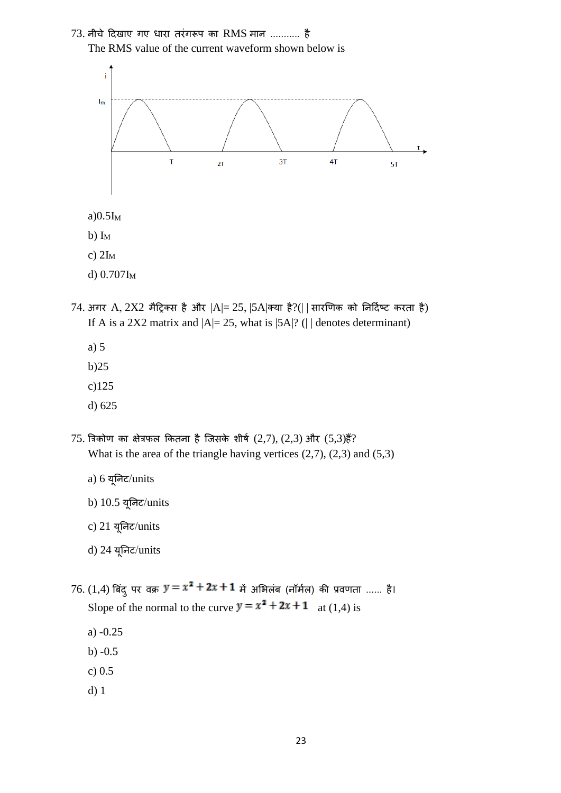



 $a)0.5I_M$ 

b)  $I_M$ 

c)  $2I_M$ 

- d)  $0.707$ I<sub>M</sub>
- $74.$  अगर A,  $2X2$  मैट्रिक्स है और  $|A|=25$ ,  $|5A|$ क्या है $?(|$  | सारणिक को निर्दिष्ट करता है) If A is a 2X2 matrix and  $|A|=25$ , what is  $|5A|$ ? ( $|$  denotes determinant)
	- a) 5
	- b)25
	- c)125
	- d) 625
- $75.$  त्रिकोण का क्षेत्रफल कितना है जिसके शीर्ष  $(2,7)$ ,  $(2,3)$  और  $(5,3)$ हैं? What is the area of the triangle having vertices  $(2,7)$ ,  $(2,3)$  and  $(5,3)$ 
	- a) 6 यूतनट/units
	- b) 10.5 यूतनट/units
	- c) 21 यूतनट/units
	- d) 24 यूतनट/units

 $76. (1,4)$  बिंदू पर वक्र  $y = x^2 + 2x + 1$  में अभिलंब (नॉर्मल) की प्रवणता ...... है। Slope of the normal to the curve  $y = x^2 + 2x + 1$  at (1,4) is

- a) -0.25
- b) -0.5
- c) 0.5
- d) 1